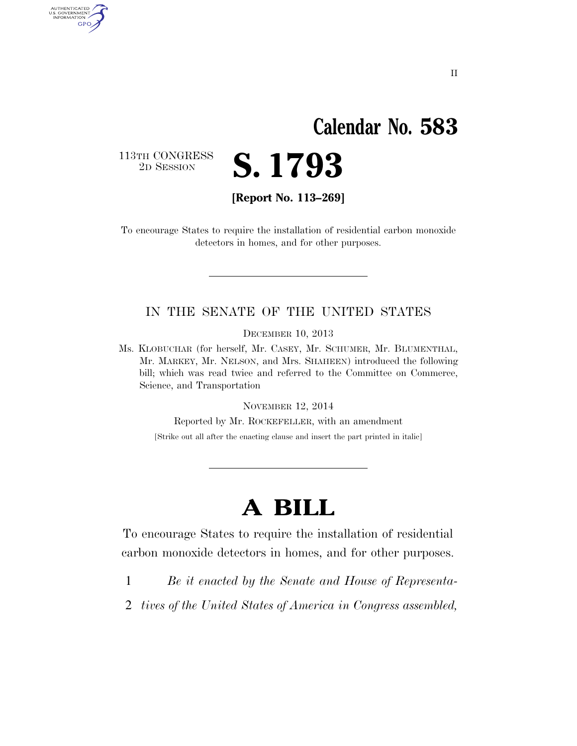## **Calendar No. 583**

113TH CONGRESS<br>2D SESSION

AUTHENTICATED<br>U.S. GOVERNMENT<br>INFORMATION GPO

2D SESSION **S. 1793** 

**[Report No. 113–269]** 

To encourage States to require the installation of residential carbon monoxide detectors in homes, and for other purposes.

#### IN THE SENATE OF THE UNITED STATES

DECEMBER 10, 2013

Ms. KLOBUCHAR (for herself, Mr. CASEY, Mr. SCHUMER, Mr. BLUMENTHAL, Mr. MARKEY, Mr. NELSON, and Mrs. SHAHEEN) introduced the following bill; which was read twice and referred to the Committee on Commerce, Science, and Transportation

NOVEMBER 12, 2014

Reported by Mr. ROCKEFELLER, with an amendment

[Strike out all after the enacting clause and insert the part printed in italic]

## **A BILL**

To encourage States to require the installation of residential carbon monoxide detectors in homes, and for other purposes.

- 1 *Be it enacted by the Senate and House of Representa-*
- 2 *tives of the United States of America in Congress assembled,*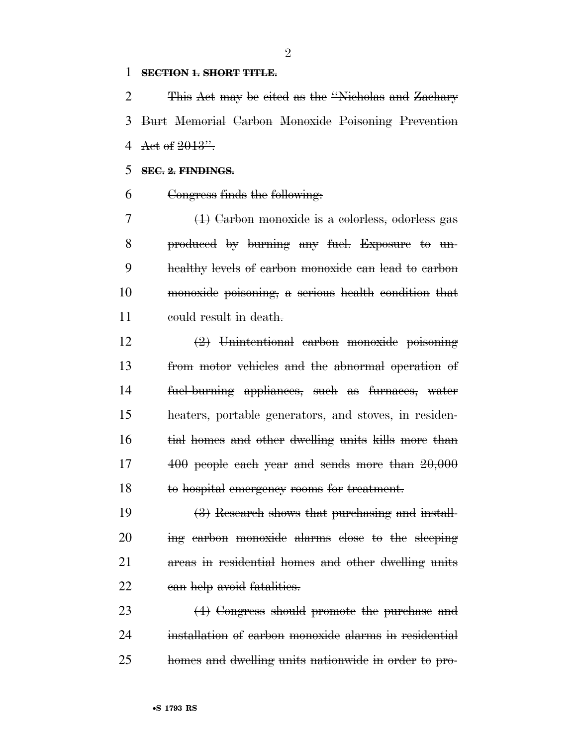#### **SECTION 1. SHORT TITLE.**

 This Act may be cited as the ''Nicholas and Zachary Burt Memorial Carbon Monoxide Poisoning Prevention 4 Act of  $2013"$ .

#### **SEC. 2. FINDINGS.**

Congress finds the following:

 (1) Carbon monoxide is a colorless, odorless gas produced by burning any fuel. Exposure to un- healthy levels of carbon monoxide can lead to carbon monoxide poisoning, a serious health condition that 11 could result in death.

 (2) Unintentional carbon monoxide poisoning from motor vehicles and the abnormal operation of fuel-burning appliances, such as furnaces, water heaters, portable generators, and stoves, in residen- tial homes and other dwelling units kills more than 17 400 people each year and sends more than  $20,000$ to hospital emergency rooms for treatment.

 (3) Research shows that purchasing and install- ing carbon monoxide alarms close to the sleeping areas in residential homes and other dwelling units 22 can help avoid fatalities.

 (4) Congress should promote the purchase and installation of carbon monoxide alarms in residential homes and dwelling units nationwide in order to pro-

 $\mathfrak{D}$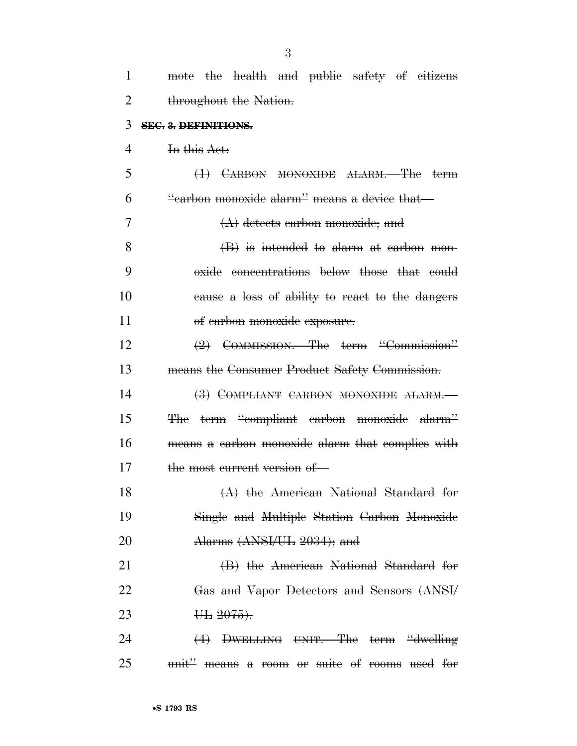| 1  | mote the health and public safety of citizens      |
|----|----------------------------------------------------|
| 2  | throughout the Nation.                             |
| 3  | SEC. 3. DEFINITIONS.                               |
| 4  | In this Act:                                       |
| 5  | (1) CARBON MONOXIDE ALARM. The term                |
| 6  | "carbon monoxide alarm" means a device that        |
| 7  | $(A)$ detects earbon monoxide; and                 |
| 8  | $(B)$ is intended to alarm at earbon mon-          |
| 9  | oxide concentrations below those that could        |
| 10 | eause a loss of ability to react to the dangers    |
| 11 | of earbon monoxide exposure.                       |
| 12 | $\left(2\right)$ COMMISSION. The term "Commission" |
| 13 | means the Consumer Product Safety Commission.      |
| 14 | (3) COMPLIANT CARBON MONOXIDE ALARM.               |
| 15 | The term "compliant earbon monoxide alarm"         |
| 16 | means a carbon monoxide alarm that complies with   |
| 17 | the most current version of-                       |
| 18 | $(A)$ the American National Standard for           |
| 19 | Single and Multiple Station Carbon Monoxide        |
| 20 | Alarms (ANSI/UL 2034); and                         |
| 21 | (B) the American National Standard for             |
| 22 | Gas and Vapor Detectors and Sensors (ANSI)         |
| 23 | <del>UL</del> 2075).                               |
| 24 | $(4)$ DWELLING UNIT. The term "dwelling"           |
| 25 | unit" means a room or suite of rooms used for      |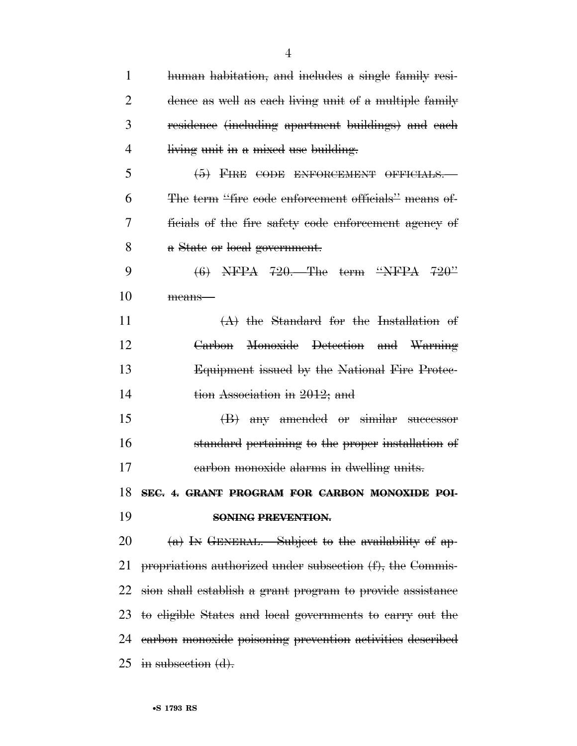| 1  | human habitation, and includes a single family resi-          |
|----|---------------------------------------------------------------|
| 2  | dence as well as each living unit of a multiple family        |
| 3  | residence (including apartment buildings) and each            |
| 4  | living unit in a mixed use building.                          |
| 5  | (5) FIRE CODE ENFORCEMENT OFFICIALS.                          |
| 6  | The term "fire code enforcement officials" means of-          |
| 7  | ficials of the fire safety code enforcement agency of         |
| 8  | a State or local government.                                  |
| 9  | $(6)$ NFPA 720.—The term "NFPA 720"                           |
| 10 | means-                                                        |
| 11 | $(A)$ the Standard for the Installation of                    |
| 12 | Carbon Monoxide Detection and Warning                         |
| 13 | Equipment issued by the National Fire Protec-                 |
| 14 | tion Association in 2012; and                                 |
| 15 | (B) any amended or similar successor                          |
| 16 | standard pertaining to the proper installation of             |
| 17 | earbon monoxide alarms in dwelling units.                     |
|    | 18 SEC. 4. GRANT PROGRAM FOR CARBON MONOXIDE POI-             |
| 19 | SONING PREVENTION.                                            |
| 20 | $(a)$ In GENERAL.—Subject to the availability of ap-          |
| 21 | propriations authorized under subsection (f), the Commis-     |
|    | 22 sion shall establish a grant program to provide assistance |
|    | 23 to eligible States and local governments to earry out the  |
|    | 24 earbon monoxide poisoning prevention activities described  |
|    | 25 in subsection $(d)$ .                                      |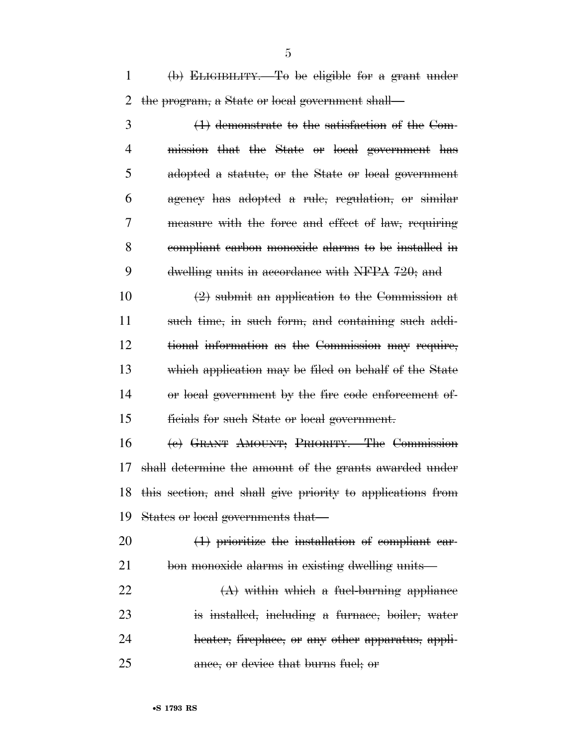(b) ELIGIBILITY.—To be eligible for a grant under the program, a State or local government shall—

 (1) demonstrate to the satisfaction of the Com- mission that the State or local government has adopted a statute, or the State or local government agency has adopted a rule, regulation, or similar measure with the force and effect of law, requiring compliant carbon monoxide alarms to be installed in 9 dwelling units in accordance with NFPA 720; and

 $\left(2\right)$  submit an application to the Commission at such time, in such form, and containing such addi- tional information as the Commission may require, which application may be filed on behalf of the State or local government by the fire code enforcement of-ficials for such State or local government.

 (c) GRANT AMOUNT; PRIORITY.—The Commission shall determine the amount of the grants awarded under this section, and shall give priority to applications from States or local governments that—

 $20 \left( 1 \right)$  prioritize the installation of compliant car-bon monoxide alarms in existing dwelling units—

 $(A)$  within which a fuel-burning appliance is installed, including a furnace, boiler, water heater, fireplace, or any other apparatus, appli-ance, or device that burns fuel; or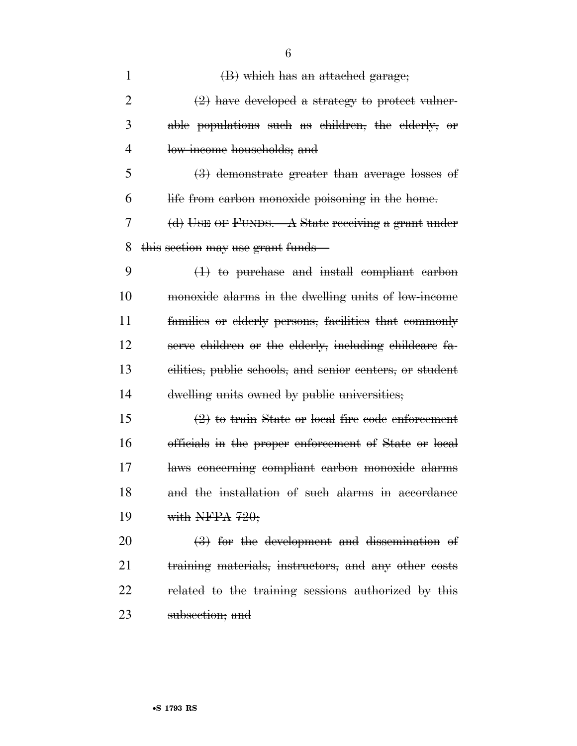| $\mathbf{1}$ | (B) which has an attached garage;                        |
|--------------|----------------------------------------------------------|
| 2            | $(2)$ have developed a strategy to protect vulner-       |
| 3            | able populations such as children, the elderly, or       |
| 4            | low-income households; and                               |
| 5            | $(3)$ demonstrate greater than average losses of         |
| 6            | life from earbon monoxide poisoning in the home.         |
| 7            | (d) USE OF FUNDS. A State receiving a grant under        |
| 8            | this section may use grant funds—                        |
| 9            | $(1)$ to purchase and install compliant carbon           |
| 10           | monoxide alarms in the dwelling units of low-income      |
| 11           | families or elderly persons, facilities that commonly    |
| 12           | serve children or the elderly, including childcare fa-   |
| 13           | eilities, public schools, and senior centers, or student |
| 14           | dwelling units owned by public universities;             |
| 15           | $(2)$ to train State or local fire code enforcement      |
| 16           | officials in the proper enforcement of State or local    |
| 17           | laws concerning compliant carbon monoxide alarms         |
| 18           | and the installation of such alarms in accordance        |
| 19           | with NFPA $720$ ;                                        |
| 20           | $(3)$ for the development and dissemination of           |
| 21           | training materials, instructors, and any other costs     |
| 22           | related to the training sessions authorized by this      |
| 23           | subsection; and                                          |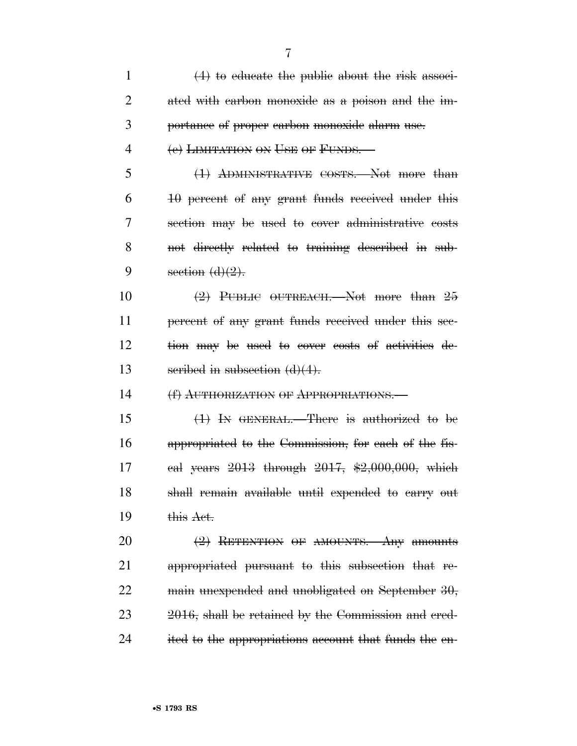| $\mathbf{1}$   | $(4)$ to educate the public about the risk associ-     |
|----------------|--------------------------------------------------------|
| $\overline{2}$ | ated with earbon monoxide as a poison and the im-      |
| 3              | portance of proper carbon monoxide alarm use.          |
| 4              | (e) LIMITATION ON USE OF FUNDS.                        |
| 5              | (1) ADMINISTRATIVE COSTS.—Not more than                |
| 6              | 10 percent of any grant funds received under this      |
| 7              | section may be used to cover administrative costs      |
| 8              | not directly related to training described in sub-     |
| 9              | section $(d)(2)$ .                                     |
| 10             | $(2)$ PUBLIC OUTREACH. Not more than 25                |
| 11             | percent of any grant funds received under this sec-    |
| 12             | tion may be used to cover costs of activities de-      |
| 13             | seribed in subsection $(d)(4)$ .                       |
| 14             | (f) AUTHORIZATION OF APPROPRIATIONS.                   |
| 15             | $(1)$ In GENERAL.—There is authorized to be            |
| 16             | appropriated to the Commission, for each of the fis-   |
| 17             | eal years $2013$ through $2017$ , $201900,000$ , which |
| 18             | shall remain available until expended to earry out     |
| 19             | this Act.                                              |
| 20             | $(2)$ RETENTION OF AMOUNTS. Any amounts                |
| 21             |                                                        |
|                | appropriated pursuant to this subsection that re-      |
| 22             | main unexpended and unobligated on September $30$ ,    |
| 23             | 2016, shall be retained by the Commission and cred-    |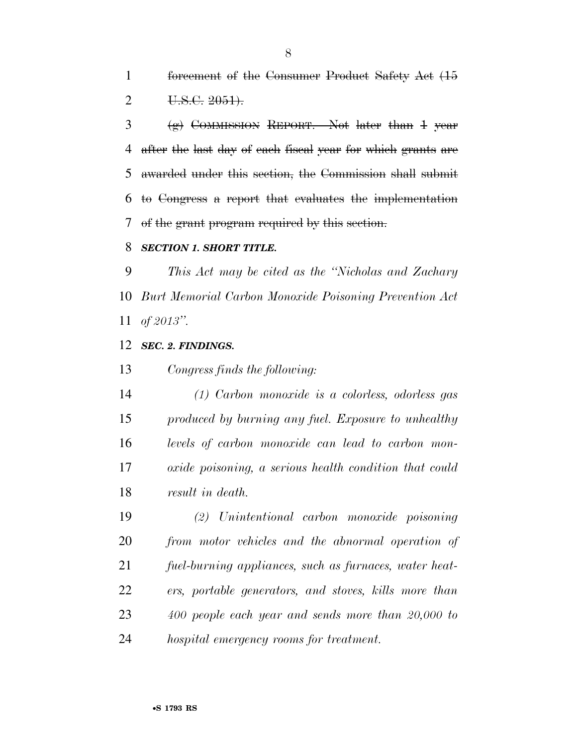1 forcement of the Consumer Product Safety Act (15 2 U.S.C. .

 (g) COMMISSION REPORT.—Not later than 1 year after the last day of each fiscal year for which grants are awarded under this section, the Commission shall submit to Congress a report that evaluates the implementation of the grant program required by this section.

#### *SECTION 1. SHORT TITLE.*

 *This Act may be cited as the ''Nicholas and Zachary Burt Memorial Carbon Monoxide Poisoning Prevention Act of 2013''.* 

#### *SEC. 2. FINDINGS.*

*Congress finds the following:* 

 *(1) Carbon monoxide is a colorless, odorless gas produced by burning any fuel. Exposure to unhealthy levels of carbon monoxide can lead to carbon mon- oxide poisoning, a serious health condition that could result in death.* 

 *(2) Unintentional carbon monoxide poisoning from motor vehicles and the abnormal operation of fuel-burning appliances, such as furnaces, water heat- ers, portable generators, and stoves, kills more than 400 people each year and sends more than 20,000 to hospital emergency rooms for treatment.*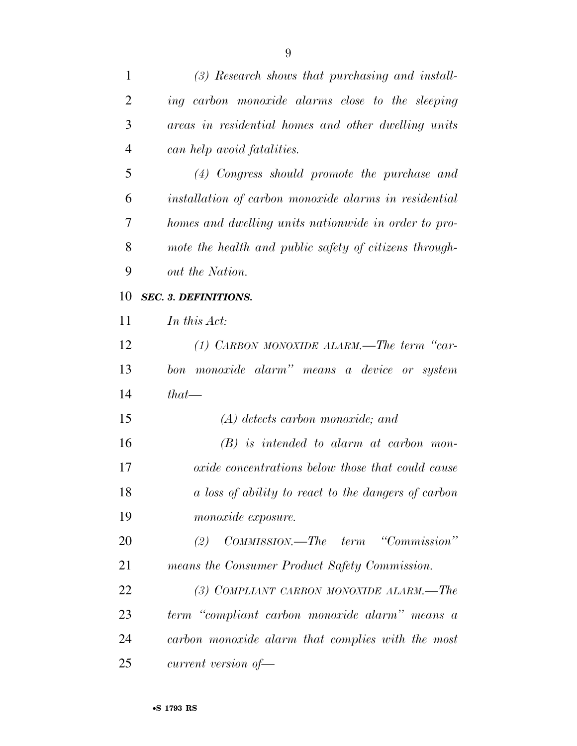| 1              | $(3)$ Research shows that purchasing and install-      |
|----------------|--------------------------------------------------------|
| $\overline{2}$ | ing carbon monoxide alarms close to the sleeping       |
| 3              | areas in residential homes and other dwelling units    |
| $\overline{4}$ | can help avoid fatalities.                             |
| 5              | (4) Congress should promote the purchase and           |
| 6              | installation of carbon monoxide alarms in residential  |
| 7              | homes and dwelling units nationwide in order to pro-   |
| 8              | mote the health and public safety of citizens through- |
| 9              | out the Nation.                                        |
| 10             | <b>SEC. 3. DEFINITIONS.</b>                            |
| 11             | In this Act:                                           |
| 12             | (1) CARBON MONOXIDE ALARM.—The term "car-              |
| 13             | monoxide alarm" means a device or system<br>bon        |
| 14             | $that -$                                               |
| 15             | $(A)$ detects carbon monoxide; and                     |
| 16             | $(B)$ is intended to alarm at carbon mon-              |
| 17             | oxide concentrations below those that could cause      |
| 18             | a loss of ability to react to the dangers of carbon    |
| 19             | monoxide exposure.                                     |
| 20             | COMMISSION.—The term "Commission"<br>(2)               |
| 21             | means the Consumer Product Safety Commission.          |
| 22             | (3) COMPLIANT CARBON MONOXIDE ALARM.—The               |
| 23             | term "compliant carbon monoxide alarm" means a         |
| 24             | carbon monoxide alarm that complies with the most      |
| 25             | $current\ version\ of$                                 |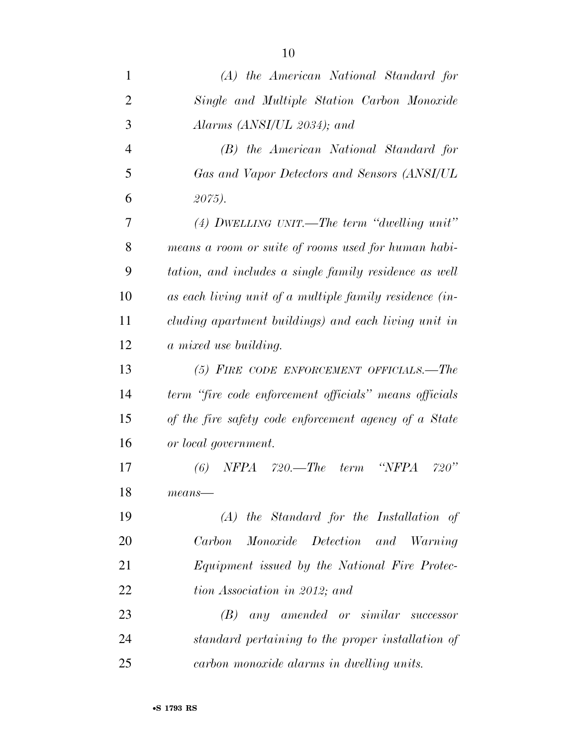| 1              | (A) the American National Standard for                  |
|----------------|---------------------------------------------------------|
| $\overline{2}$ | Single and Multiple Station Carbon Monoxide             |
| 3              | Alarms (ANSI/UL 2034); and                              |
| $\overline{4}$ | (B) the American National Standard for                  |
| 5              | Gas and Vapor Detectors and Sensors (ANSI/UL            |
| 6              | 2075).                                                  |
| 7              | (4) DWELLING UNIT.—The term "dwelling unit"             |
| 8              | means a room or suite of rooms used for human habi-     |
| 9              | tation, and includes a single family residence as well  |
| 10             | as each living unit of a multiple family residence (in- |
| 11             | cluding apartment buildings) and each living unit in    |
| 12             | a mixed use building.                                   |
| 13             | (5) FIRE CODE ENFORCEMENT OFFICIALS.—The                |
| 14             | term "fire code enforcement officials" means officials  |
| 15             | of the fire safety code enforcement agency of a State   |
| 16             | or local government.                                    |
| 17             | "NFPA<br>(6)<br>$NFPA$ 720.—The term<br>720"            |
| 18             | $means$ —                                               |
| 19             | $(A)$ the Standard for the Installation of              |
| 20             | Monoxide Detection and Warning<br>Carbon                |
| 21             | Equipment issued by the National Fire Protec-           |
| 22             | tion Association in 2012; and                           |
| 23             | any amended or similar successor<br>(B)                 |
| 24             | standard pertaining to the proper installation of       |
| 25             | carbon monoxide alarms in dwelling units.               |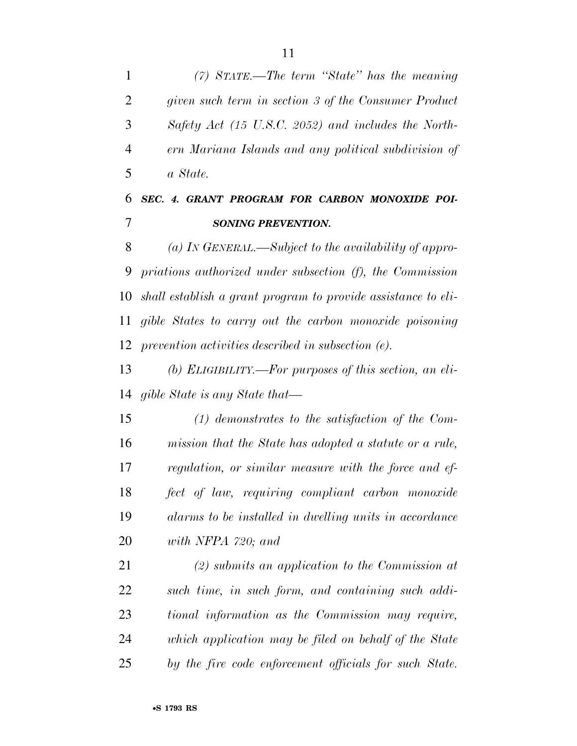*(7) STATE.—The term ''State'' has the meaning given such term in section 3 of the Consumer Product Safety Act (15 U.S.C. 2052) and includes the North- ern Mariana Islands and any political subdivision of a State.* 

### *SEC. 4. GRANT PROGRAM FOR CARBON MONOXIDE POI-SONING PREVENTION.*

 *(a) IN GENERAL.—Subject to the availability of appro- priations authorized under subsection (f), the Commission shall establish a grant program to provide assistance to eli- gible States to carry out the carbon monoxide poisoning prevention activities described in subsection (e).* 

 *(b) ELIGIBILITY.—For purposes of this section, an eli-gible State is any State that—* 

 *(1) demonstrates to the satisfaction of the Com- mission that the State has adopted a statute or a rule, regulation, or similar measure with the force and ef- fect of law, requiring compliant carbon monoxide alarms to be installed in dwelling units in accordance with NFPA 720; and* 

 *(2) submits an application to the Commission at such time, in such form, and containing such addi- tional information as the Commission may require, which application may be filed on behalf of the State by the fire code enforcement officials for such State.*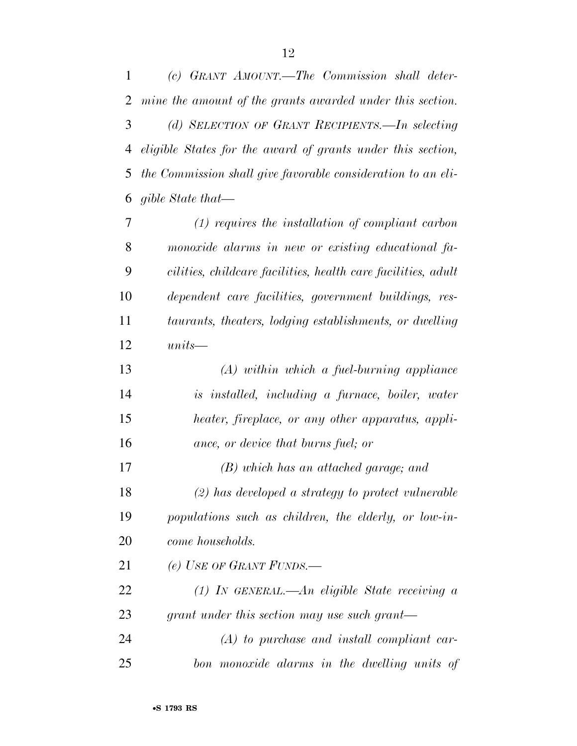| 1  | (c) GRANT AMOUNT.—The Commission shall deter-                 |
|----|---------------------------------------------------------------|
| 2  | mine the amount of the grants awarded under this section.     |
| 3  | (d) SELECTION OF GRANT RECIPIENTS.—In selecting               |
| 4  | eligible States for the award of grants under this section,   |
| 5  | the Commission shall give favorable consideration to an eli-  |
| 6  | gible State that—                                             |
| 7  | $(1)$ requires the installation of compliant carbon           |
| 8  | monoxide alarms in new or existing educational fa-            |
| 9  | cilities, childcare facilities, health care facilities, adult |
| 10 | dependent care facilities, government buildings, res-         |
| 11 | taurants, theaters, lodging establishments, or dwelling       |
| 12 | $units-$                                                      |
| 13 | $(A)$ within which a fuel-burning appliance                   |
| 14 | is installed, including a furnace, boiler, water              |
| 15 | heater, fireplace, or any other apparatus, appli-             |
| 16 | ance, or device that burns fuel; or                           |
| 17 | (B) which has an attached garage; and                         |
| 18 | $(2)$ has developed a strategy to protect vulnerable          |
| 19 | populations such as children, the elderly, or low-in-         |
| 20 | come households.                                              |
| 21 | (e) USE OF GRANT FUNDS.—                                      |
| 22 | (1) IN GENERAL.—An eligible State receiving $\alpha$          |
| 23 | grant under this section may use such grant—                  |
| 24 | $(A)$ to purchase and install compliant car-                  |
| 25 | bon monoxide alarms in the dwelling units of                  |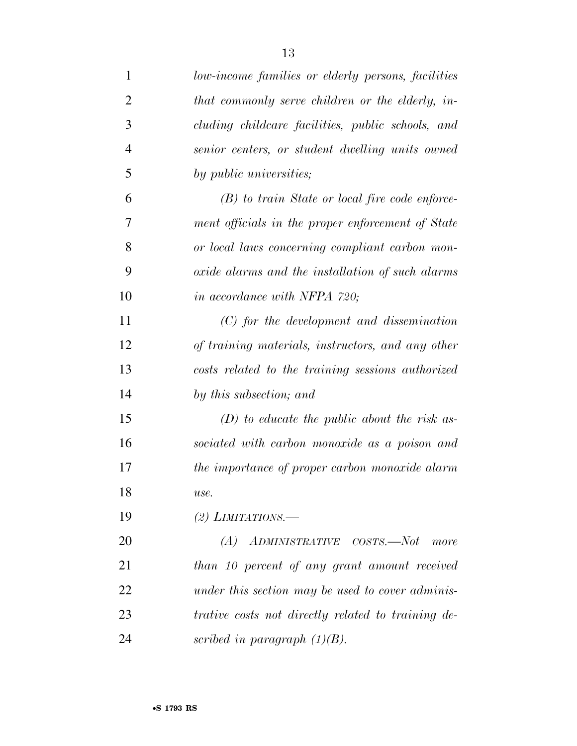| $\mathbf{1}$   | low-income families or elderly persons, facilities |
|----------------|----------------------------------------------------|
| $\overline{2}$ | that commonly serve children or the elderly, in-   |
| 3              | cluding childcare facilities, public schools, and  |
| $\overline{4}$ | senior centers, or student dwelling units owned    |
| 5              | by public universities;                            |
| 6              | $(B)$ to train State or local fire code enforce-   |
| 7              | ment officials in the proper enforcement of State  |
| 8              | or local laws concerning compliant carbon mon-     |
| 9              | oxide alarms and the installation of such alarms   |
| 10             | in accordance with NFPA 720;                       |
| 11             | $(C)$ for the development and dissemination        |
| 12             | of training materials, instructors, and any other  |
| 13             | costs related to the training sessions authorized  |
| 14             | by this subsection; and                            |
| 15             | $(D)$ to educate the public about the risk as-     |
| 16             | sociated with carbon monoxide as a poison and      |
| 17             | the importance of proper carbon monoxide alarm     |
| 18             | use.                                               |
| 19             | $(2)$ LIMITATIONS.—                                |
| 20             | ADMINISTRATIVE COSTS.—Not more<br>(A)              |
| 21             | than 10 percent of any grant amount received       |
| 22             | under this section may be used to cover adminis-   |
| 23             | trative costs not directly related to training de- |
| 24             | scribed in paragraph $(1)(B)$ .                    |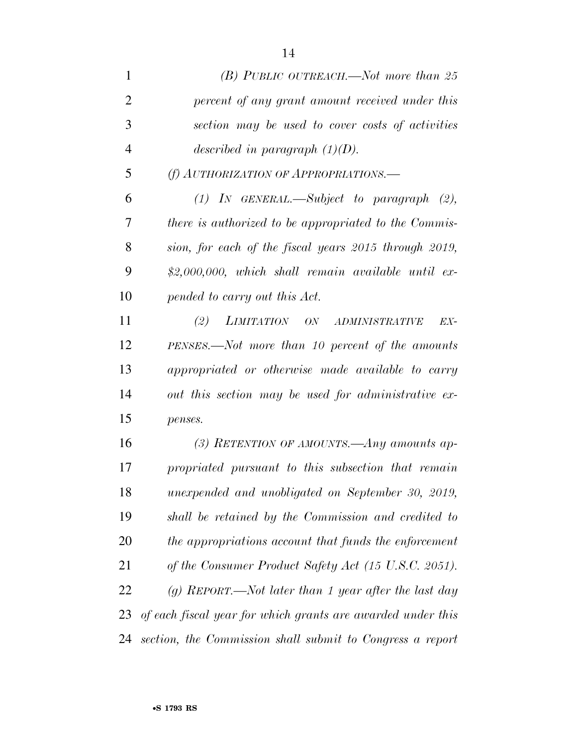| $\mathbf{1}$   | $(B)$ PUBLIC OUTREACH.—Not more than 25                     |
|----------------|-------------------------------------------------------------|
| $\overline{2}$ | percent of any grant amount received under this             |
| 3              | section may be used to cover costs of activities            |
| $\overline{4}$ | described in paragraph $(1)(D)$ .                           |
| 5              | (f) AUTHORIZATION OF APPROPRIATIONS.—                       |
| 6              | $(1)$ IN GENERAL.—Subject to paragraph $(2)$ ,              |
| 7              | there is authorized to be appropriated to the Commis-       |
| 8              | sion, for each of the fiscal years 2015 through 2019,       |
| 9              | $$2,000,000, which shall remain available until ex-$        |
| 10             | pended to carry out this Act.                               |
| 11             | (2)<br>LIMITATION ON ADMINISTRATIVE<br>EX-                  |
| 12             | PENSES.—Not more than 10 percent of the amounts             |
| 13             | appropriated or otherwise made available to carry           |
| 14             | out this section may be used for administrative ex-         |
| 15             | penses.                                                     |
| 16             | (3) RETENTION OF AMOUNTS.—Any amounts ap-                   |
| 17             | propriated pursuant to this subsection that remain          |
| 18             | unexpended and unobligated on September 30, 2019,           |
| 19             | shall be retained by the Commission and credited to         |
| 20             | the appropriations account that funds the enforcement       |
| 21             | of the Consumer Product Safety Act (15 U.S.C. 2051).        |
| 22             | (g) REPORT.—Not later than 1 year after the last day        |
| 23             | of each fiscal year for which grants are awarded under this |
| 24             | section, the Commission shall submit to Congress a report   |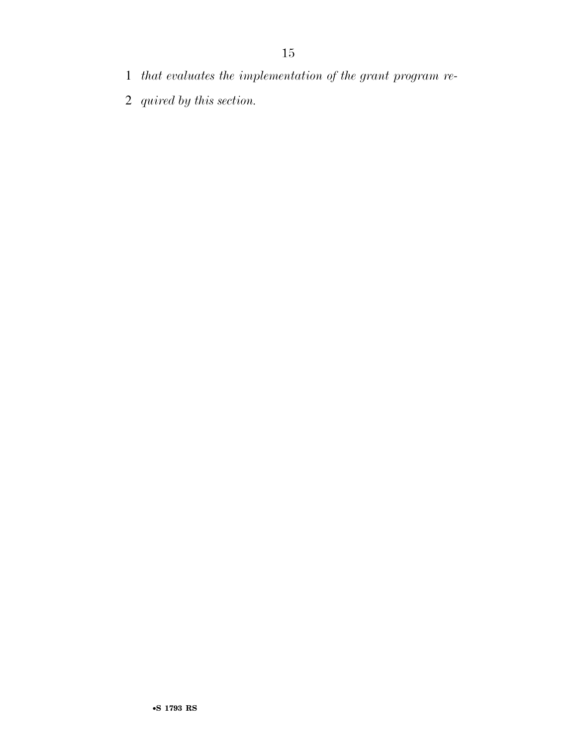- *that evaluates the implementation of the grant program re-*
- *quired by this section.*